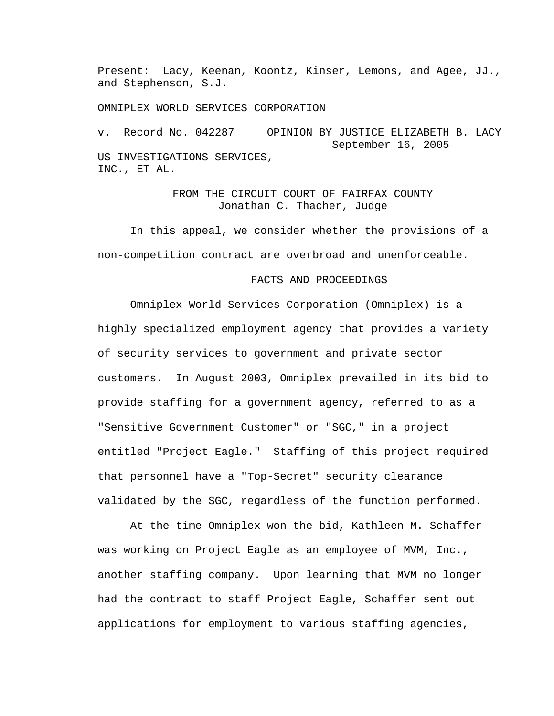Present: Lacy, Keenan, Koontz, Kinser, Lemons, and Agee, JJ., and Stephenson, S.J.

OMNIPLEX WORLD SERVICES CORPORATION

v. Record No. 042287 OPINION BY JUSTICE ELIZABETH B. LACY September 16, 2005 US INVESTIGATIONS SERVICES, INC., ET AL.

## FROM THE CIRCUIT COURT OF FAIRFAX COUNTY Jonathan C. Thacher, Judge

In this appeal, we consider whether the provisions of a non-competition contract are overbroad and unenforceable.

## FACTS AND PROCEEDINGS

Omniplex World Services Corporation (Omniplex) is a highly specialized employment agency that provides a variety of security services to government and private sector customers. In August 2003, Omniplex prevailed in its bid to provide staffing for a government agency, referred to as a "Sensitive Government Customer" or "SGC," in a project entitled "Project Eagle." Staffing of this project required that personnel have a "Top-Secret" security clearance validated by the SGC, regardless of the function performed.

 At the time Omniplex won the bid, Kathleen M. Schaffer was working on Project Eagle as an employee of MVM, Inc., another staffing company. Upon learning that MVM no longer had the contract to staff Project Eagle, Schaffer sent out applications for employment to various staffing agencies,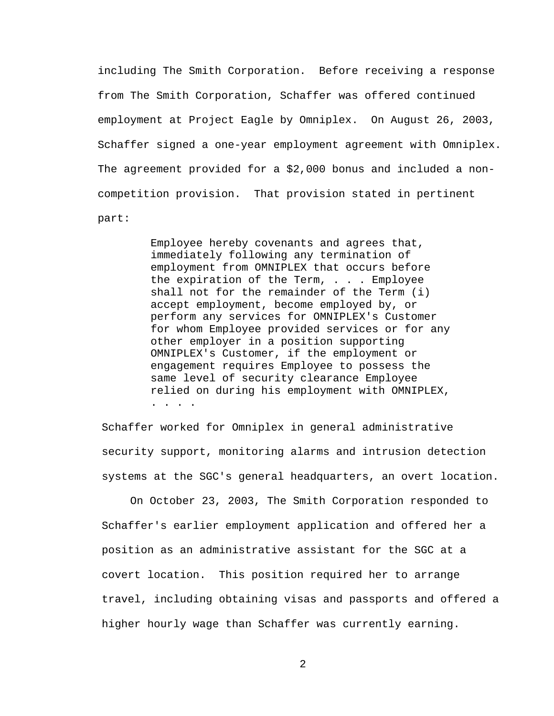including The Smith Corporation. Before receiving a response from The Smith Corporation, Schaffer was offered continued employment at Project Eagle by Omniplex. On August 26, 2003, Schaffer signed a one-year employment agreement with Omniplex. The agreement provided for a \$2,000 bonus and included a noncompetition provision. That provision stated in pertinent part:

> Employee hereby covenants and agrees that, immediately following any termination of employment from OMNIPLEX that occurs before the expiration of the Term, . . . Employee shall not for the remainder of the Term (i) accept employment, become employed by, or perform any services for OMNIPLEX's Customer for whom Employee provided services or for any other employer in a position supporting OMNIPLEX's Customer, if the employment or engagement requires Employee to possess the same level of security clearance Employee relied on during his employment with OMNIPLEX, . . . .

Schaffer worked for Omniplex in general administrative security support, monitoring alarms and intrusion detection systems at the SGC's general headquarters, an overt location.

 On October 23, 2003, The Smith Corporation responded to Schaffer's earlier employment application and offered her a position as an administrative assistant for the SGC at a covert location. This position required her to arrange travel, including obtaining visas and passports and offered a higher hourly wage than Schaffer was currently earning.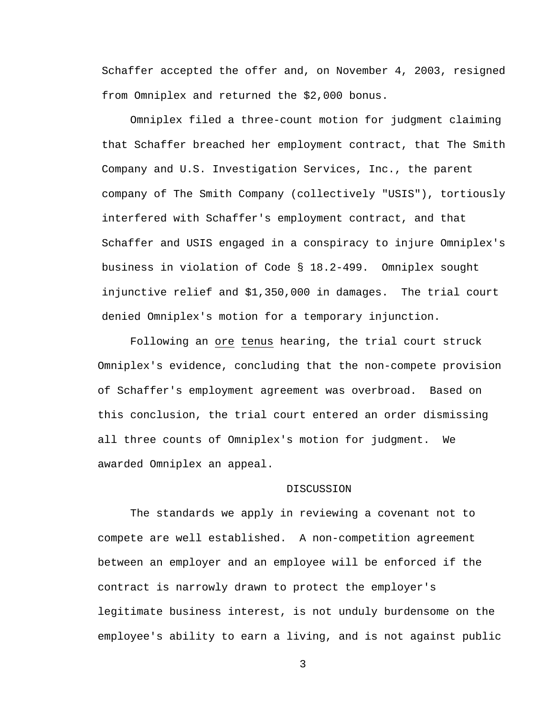Schaffer accepted the offer and, on November 4, 2003, resigned from Omniplex and returned the \$2,000 bonus.

 Omniplex filed a three-count motion for judgment claiming that Schaffer breached her employment contract, that The Smith Company and U.S. Investigation Services, Inc., the parent company of The Smith Company (collectively "USIS"), tortiously interfered with Schaffer's employment contract, and that Schaffer and USIS engaged in a conspiracy to injure Omniplex's business in violation of Code § 18.2-499. Omniplex sought injunctive relief and \$1,350,000 in damages. The trial court denied Omniplex's motion for a temporary injunction.

Following an ore tenus hearing, the trial court struck Omniplex's evidence, concluding that the non-compete provision of Schaffer's employment agreement was overbroad. Based on this conclusion, the trial court entered an order dismissing all three counts of Omniplex's motion for judgment. We awarded Omniplex an appeal.

## DISCUSSION

The standards we apply in reviewing a covenant not to compete are well established. A non-competition agreement between an employer and an employee will be enforced if the contract is narrowly drawn to protect the employer's legitimate business interest, is not unduly burdensome on the employee's ability to earn a living, and is not against public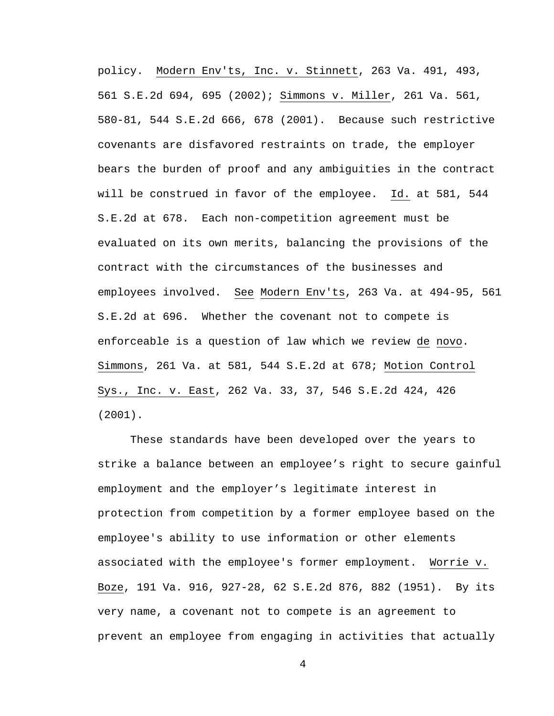policy. Modern Env'ts, Inc. v. Stinnett, 263 Va. 491, 493, 561 S.E.2d 694, 695 (2002); Simmons v. Miller, 261 Va. 561, 580-81, 544 S.E.2d 666, 678 (2001). Because such restrictive covenants are disfavored restraints on trade, the employer bears the burden of proof and any ambiguities in the contract will be construed in favor of the employee. Id. at 581, 544 S.E.2d at 678. Each non-competition agreement must be evaluated on its own merits, balancing the provisions of the contract with the circumstances of the businesses and employees involved. See Modern Env'ts, 263 Va. at 494-95, 561 S.E.2d at 696. Whether the covenant not to compete is enforceable is a question of law which we review de novo. Simmons, 261 Va. at 581, 544 S.E.2d at 678; Motion Control Sys., Inc. v. East, 262 Va. 33, 37, 546 S.E.2d 424, 426 (2001).

These standards have been developed over the years to strike a balance between an employee's right to secure gainful employment and the employer's legitimate interest in protection from competition by a former employee based on the employee's ability to use information or other elements associated with the employee's former employment. Worrie v. Boze, 191 Va. 916, 927-28, 62 S.E.2d 876, 882 (1951). By its very name, a covenant not to compete is an agreement to prevent an employee from engaging in activities that actually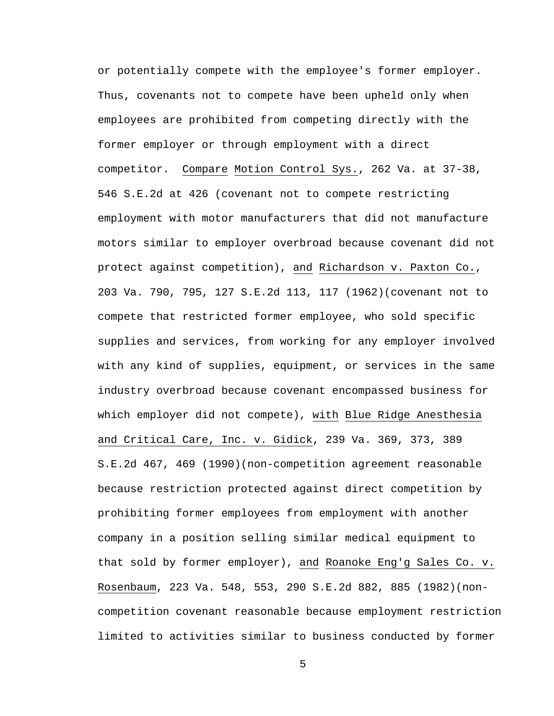or potentially compete with the employee's former employer. Thus, covenants not to compete have been upheld only when employees are prohibited from competing directly with the former employer or through employment with a direct competitor. Compare Motion Control Sys., 262 Va. at 37-38, 546 S.E.2d at 426 (covenant not to compete restricting employment with motor manufacturers that did not manufacture motors similar to employer overbroad because covenant did not protect against competition), and Richardson v. Paxton Co., 203 Va. 790, 795, 127 S.E.2d 113, 117 (1962)(covenant not to compete that restricted former employee, who sold specific supplies and services, from working for any employer involved with any kind of supplies, equipment, or services in the same industry overbroad because covenant encompassed business for which employer did not compete), with Blue Ridge Anesthesia and Critical Care, Inc. v. Gidick, 239 Va. 369, 373, 389 S.E.2d 467, 469 (1990)(non-competition agreement reasonable because restriction protected against direct competition by prohibiting former employees from employment with another company in a position selling similar medical equipment to that sold by former employer), and Roanoke Eng'g Sales Co. v. Rosenbaum, 223 Va. 548, 553, 290 S.E.2d 882, 885 (1982)(noncompetition covenant reasonable because employment restriction limited to activities similar to business conducted by former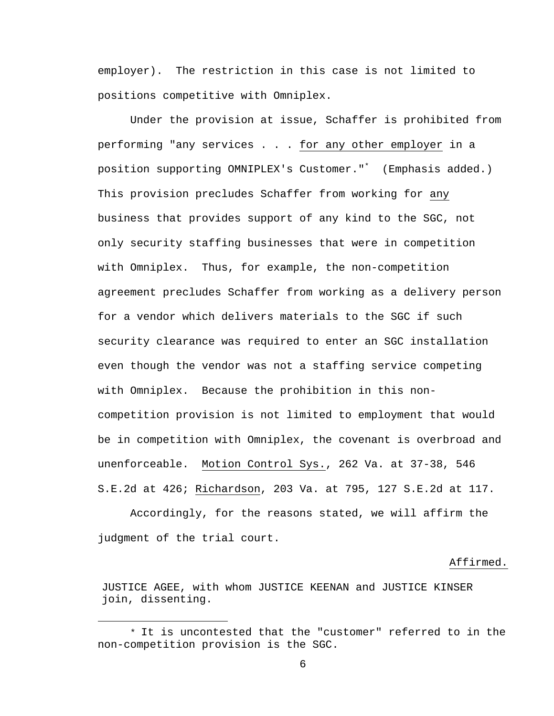employer). The restriction in this case is not limited to positions competitive with Omniplex.

Under the provision at issue, Schaffer is prohibited from performing "any services . . . for any other employer in a position supporting OMNIPLEX's Customer."\* (Emphasis added.) This provision precludes Schaffer from working for any business that provides support of any kind to the SGC, not only security staffing businesses that were in competition with Omniplex. Thus, for example, the non-competition agreement precludes Schaffer from working as a delivery person for a vendor which delivers materials to the SGC if such security clearance was required to enter an SGC installation even though the vendor was not a staffing service competing with Omniplex. Because the prohibition in this noncompetition provision is not limited to employment that would be in competition with Omniplex, the covenant is overbroad and unenforceable. Motion Control Sys., 262 Va. at 37-38, 546 S.E.2d at 426; Richardson, 203 Va. at 795, 127 S.E.2d at 117.

 Accordingly, for the reasons stated, we will affirm the judgment of the trial court.

## Affirmed.

JUSTICE AGEE, with whom JUSTICE KEENAN and JUSTICE KINSER join, dissenting.

<sup>\*</sup> It is uncontested that the "customer" referred to in the non-competition provision is the SGC.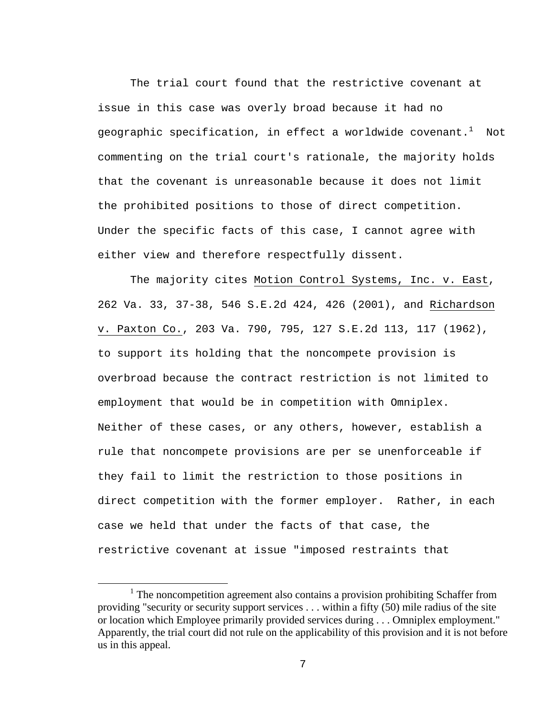The trial court found that the restrictive covenant at issue in this case was overly broad because it had no geographic specification, in effect a worldwide covenant. $^{\rm 1}$  Not commenting on the trial court's rationale, the majority holds that the covenant is unreasonable because it does not limit the prohibited positions to those of direct competition. Under the specific facts of this case, I cannot agree with either view and therefore respectfully dissent.

 The majority cites Motion Control Systems, Inc. v. East, 262 Va. 33, 37-38, 546 S.E.2d 424, 426 (2001), and Richardson v. Paxton Co., 203 Va. 790, 795, 127 S.E.2d 113, 117 (1962), to support its holding that the noncompete provision is overbroad because the contract restriction is not limited to employment that would be in competition with Omniplex. Neither of these cases, or any others, however, establish a rule that noncompete provisions are per se unenforceable if they fail to limit the restriction to those positions in direct competition with the former employer. Rather, in each case we held that under the facts of that case, the restrictive covenant at issue "imposed restraints that

<sup>&</sup>lt;u>1</u>  $1$  The noncompetition agreement also contains a provision prohibiting Schaffer from providing "security or security support services . . . within a fifty (50) mile radius of the site or location which Employee primarily provided services during . . . Omniplex employment." Apparently, the trial court did not rule on the applicability of this provision and it is not before us in this appeal.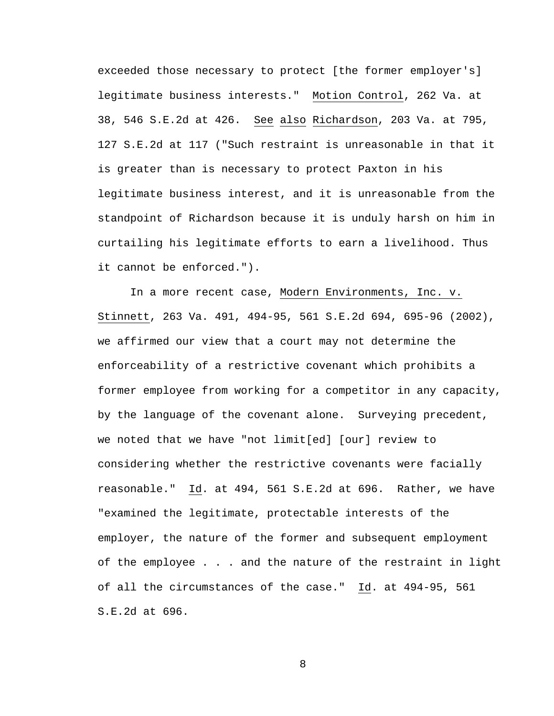exceeded those necessary to protect [the former employer's] legitimate business interests." Motion Control, 262 Va. at 38, 546 S.E.2d at 426. See also Richardson, 203 Va. at 795, 127 S.E.2d at 117 ("Such restraint is unreasonable in that it is greater than is necessary to protect Paxton in his legitimate business interest, and it is unreasonable from the standpoint of Richardson because it is unduly harsh on him in curtailing his legitimate efforts to earn a livelihood. Thus it cannot be enforced.").

 In a more recent case, Modern Environments, Inc. v. Stinnett, 263 Va. 491, 494-95, 561 S.E.2d 694, 695-96 (2002), we affirmed our view that a court may not determine the enforceability of a restrictive covenant which prohibits a former employee from working for a competitor in any capacity, by the language of the covenant alone. Surveying precedent, we noted that we have "not limit[ed] [our] review to considering whether the restrictive covenants were facially reasonable." Id. at 494, 561 S.E.2d at 696. Rather, we have "examined the legitimate, protectable interests of the employer, the nature of the former and subsequent employment of the employee . . . and the nature of the restraint in light of all the circumstances of the case." Id. at 494-95, 561 S.E.2d at 696.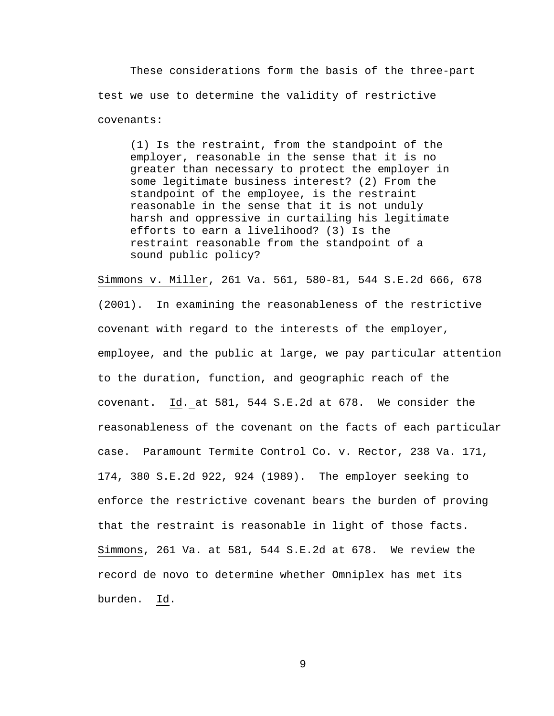These considerations form the basis of the three-part test we use to determine the validity of restrictive covenants:

 (1) Is the restraint, from the standpoint of the employer, reasonable in the sense that it is no greater than necessary to protect the employer in some legitimate business interest? (2) From the standpoint of the employee, is the restraint reasonable in the sense that it is not unduly harsh and oppressive in curtailing his legitimate efforts to earn a livelihood? (3) Is the restraint reasonable from the standpoint of a sound public policy?

Simmons v. Miller, 261 Va. 561, 580-81, 544 S.E.2d 666, 678 (2001). In examining the reasonableness of the restrictive covenant with regard to the interests of the employer, employee, and the public at large, we pay particular attention to the duration, function, and geographic reach of the covenant. Id. at 581, 544 S.E.2d at 678. We consider the reasonableness of the covenant on the facts of each particular case. Paramount Termite Control Co. v. Rector, 238 Va. 171, 174, 380 S.E.2d 922, 924 (1989). The employer seeking to enforce the restrictive covenant bears the burden of proving that the restraint is reasonable in light of those facts. Simmons, 261 Va. at 581, 544 S.E.2d at 678. We review the record de novo to determine whether Omniplex has met its burden. Id.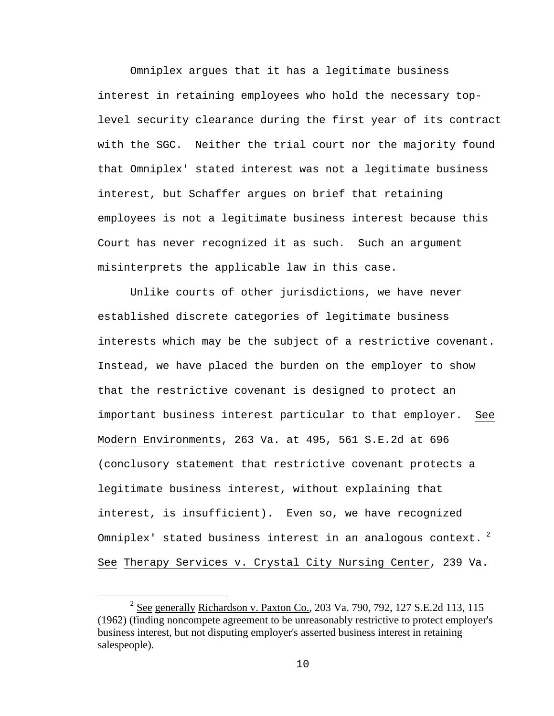Omniplex argues that it has a legitimate business interest in retaining employees who hold the necessary toplevel security clearance during the first year of its contract with the SGC. Neither the trial court nor the majority found that Omniplex' stated interest was not a legitimate business interest, but Schaffer argues on brief that retaining employees is not a legitimate business interest because this Court has never recognized it as such. Such an argument misinterprets the applicable law in this case.

Unlike courts of other jurisdictions, we have never established discrete categories of legitimate business interests which may be the subject of a restrictive covenant. Instead, we have placed the burden on the employer to show that the restrictive covenant is designed to protect an important business interest particular to that employer. See Modern Environments, 263 Va. at 495, 561 S.E.2d at 696 (conclusory statement that restrictive covenant protects a legitimate business interest, without explaining that interest, is insufficient). Even so, we have recognized Omniplex' stated business interest in an analogous context.  $^{2}$ See Therapy Services v. Crystal City Nursing Center, 239 Va.

 <sup>2</sup> <sup>2</sup> See generally Richardson v. Paxton Co., 203 Va. 790, 792, 127 S.E.2d 113, 115 (1962) (finding noncompete agreement to be unreasonably restrictive to protect employer's business interest, but not disputing employer's asserted business interest in retaining salespeople).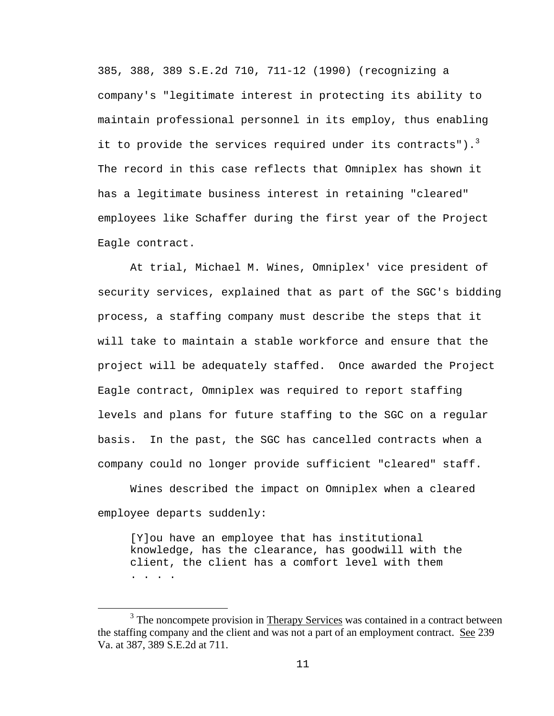385, 388, 389 S.E.2d 710, 711-12 (1990) (recognizing a company's "legitimate interest in protecting its ability to maintain professional personnel in its employ, thus enabling it to provide the services required under its contracts"). $^3$ The record in this case reflects that Omniplex has shown it has a legitimate business interest in retaining "cleared" employees like Schaffer during the first year of the Project Eagle contract.

 At trial, Michael M. Wines, Omniplex' vice president of security services, explained that as part of the SGC's bidding process, a staffing company must describe the steps that it will take to maintain a stable workforce and ensure that the project will be adequately staffed. Once awarded the Project Eagle contract, Omniplex was required to report staffing levels and plans for future staffing to the SGC on a regular basis. In the past, the SGC has cancelled contracts when a company could no longer provide sufficient "cleared" staff.

 Wines described the impact on Omniplex when a cleared employee departs suddenly:

[Y]ou have an employee that has institutional knowledge, has the clearance, has goodwill with the client, the client has a comfort level with them . . . .

 $\frac{1}{3}$  $3$  The noncompete provision in Therapy Services was contained in a contract between the staffing company and the client and was not a part of an employment contract. See 239 Va. at 387, 389 S.E.2d at 711.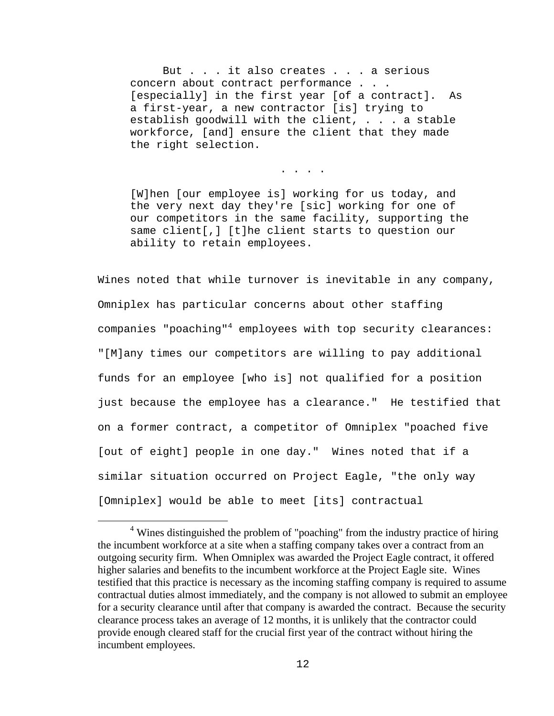But . . . it also creates . . . a serious concern about contract performance . . . [especially] in the first year [of a contract]. As a first-year, a new contractor [is] trying to establish goodwill with the client, . . . a stable workforce, [and] ensure the client that they made the right selection.

[W]hen [our employee is] working for us today, and the very next day they're [sic] working for one of our competitors in the same facility, supporting the same client[,] [t]he client starts to question our ability to retain employees.

. . . .

Wines noted that while turnover is inevitable in any company, Omniplex has particular concerns about other staffing companies "poaching"<sup>4</sup> employees with top security clearances: "[M]any times our competitors are willing to pay additional funds for an employee [who is] not qualified for a position just because the employee has a clearance." He testified that on a former contract, a competitor of Omniplex "poached five [out of eight] people in one day." Wines noted that if a similar situation occurred on Project Eagle, "the only way [Omniplex] would be able to meet [its] contractual

 $\overline{4}$ <sup>4</sup> Wines distinguished the problem of "poaching" from the industry practice of hiring the incumbent workforce at a site when a staffing company takes over a contract from an outgoing security firm. When Omniplex was awarded the Project Eagle contract, it offered higher salaries and benefits to the incumbent workforce at the Project Eagle site. Wines testified that this practice is necessary as the incoming staffing company is required to assume contractual duties almost immediately, and the company is not allowed to submit an employee for a security clearance until after that company is awarded the contract. Because the security clearance process takes an average of 12 months, it is unlikely that the contractor could provide enough cleared staff for the crucial first year of the contract without hiring the incumbent employees.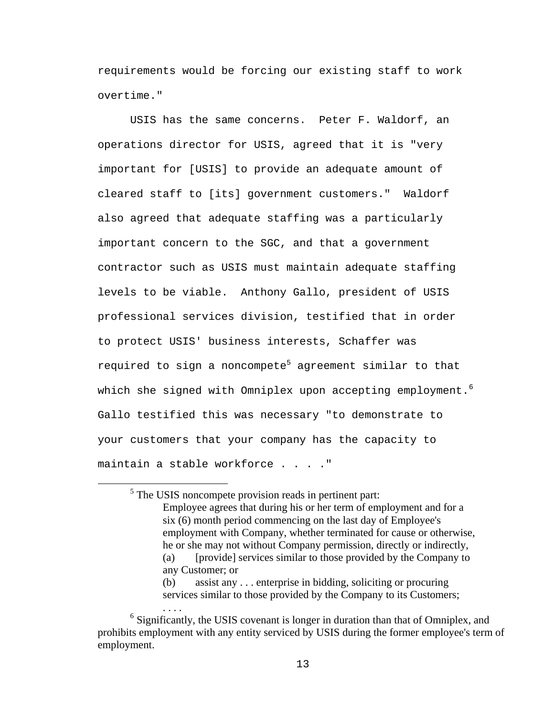requirements would be forcing our existing staff to work overtime."

 USIS has the same concerns. Peter F. Waldorf, an operations director for USIS, agreed that it is "very important for [USIS] to provide an adequate amount of cleared staff to [its] government customers." Waldorf also agreed that adequate staffing was a particularly important concern to the SGC, and that a government contractor such as USIS must maintain adequate staffing levels to be viable. Anthony Gallo, president of USIS professional services division, testified that in order to protect USIS' business interests, Schaffer was required to sign a noncompete<sup>5</sup> agreement similar to that which she signed with Omniplex upon accepting employment. $^6$ Gallo testified this was necessary "to demonstrate to your customers that your company has the capacity to maintain a stable workforce . . . ."

 $rac{1}{5}$  $5$  The USIS noncompete provision reads in pertinent part: Employee agrees that during his or her term of employment and for a six (6) month period commencing on the last day of Employee's employment with Company, whether terminated for cause or otherwise, he or she may not without Company permission, directly or indirectly, (a) [provide] services similar to those provided by the Company to any Customer; or (b) assist any . . . enterprise in bidding, soliciting or procuring

services similar to those provided by the Company to its Customers;

 $\mathbf{S}$ ....<br><sup>6</sup> Significantly, the USIS covenant is longer in duration than that of Omniplex, and prohibits employment with any entity serviced by USIS during the former employee's term of employment.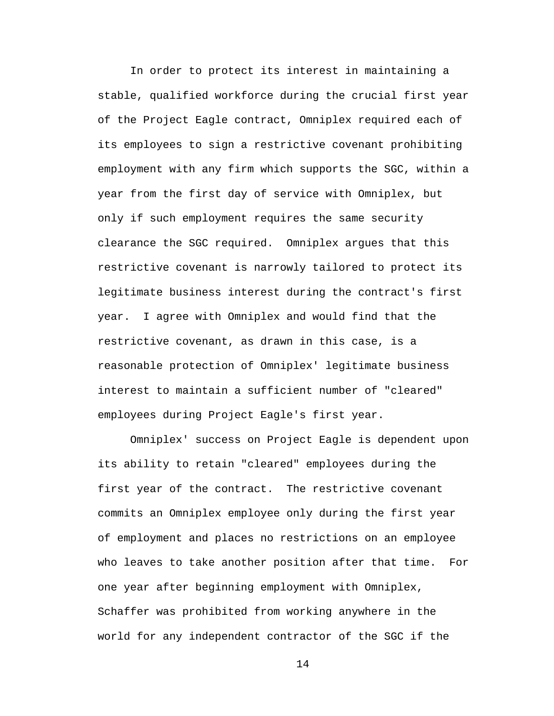In order to protect its interest in maintaining a stable, qualified workforce during the crucial first year of the Project Eagle contract, Omniplex required each of its employees to sign a restrictive covenant prohibiting employment with any firm which supports the SGC, within a year from the first day of service with Omniplex, but only if such employment requires the same security clearance the SGC required. Omniplex argues that this restrictive covenant is narrowly tailored to protect its legitimate business interest during the contract's first year. I agree with Omniplex and would find that the restrictive covenant, as drawn in this case, is a reasonable protection of Omniplex' legitimate business interest to maintain a sufficient number of "cleared" employees during Project Eagle's first year.

 Omniplex' success on Project Eagle is dependent upon its ability to retain "cleared" employees during the first year of the contract. The restrictive covenant commits an Omniplex employee only during the first year of employment and places no restrictions on an employee who leaves to take another position after that time. For one year after beginning employment with Omniplex, Schaffer was prohibited from working anywhere in the world for any independent contractor of the SGC if the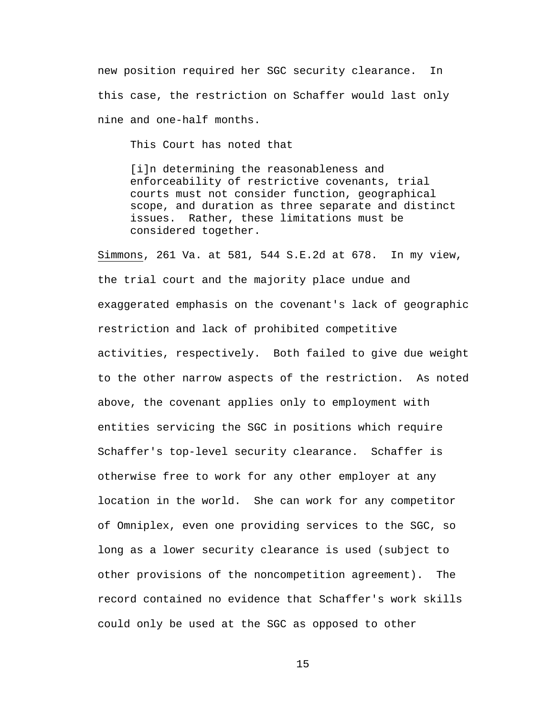new position required her SGC security clearance. In this case, the restriction on Schaffer would last only nine and one-half months.

This Court has noted that

[i]n determining the reasonableness and enforceability of restrictive covenants, trial courts must not consider function, geographical scope, and duration as three separate and distinct issues. Rather, these limitations must be considered together.

Simmons, 261 Va. at 581, 544 S.E.2d at 678. In my view, the trial court and the majority place undue and exaggerated emphasis on the covenant's lack of geographic restriction and lack of prohibited competitive activities, respectively. Both failed to give due weight to the other narrow aspects of the restriction. As noted above, the covenant applies only to employment with entities servicing the SGC in positions which require Schaffer's top-level security clearance. Schaffer is otherwise free to work for any other employer at any location in the world. She can work for any competitor of Omniplex, even one providing services to the SGC, so long as a lower security clearance is used (subject to other provisions of the noncompetition agreement). The record contained no evidence that Schaffer's work skills could only be used at the SGC as opposed to other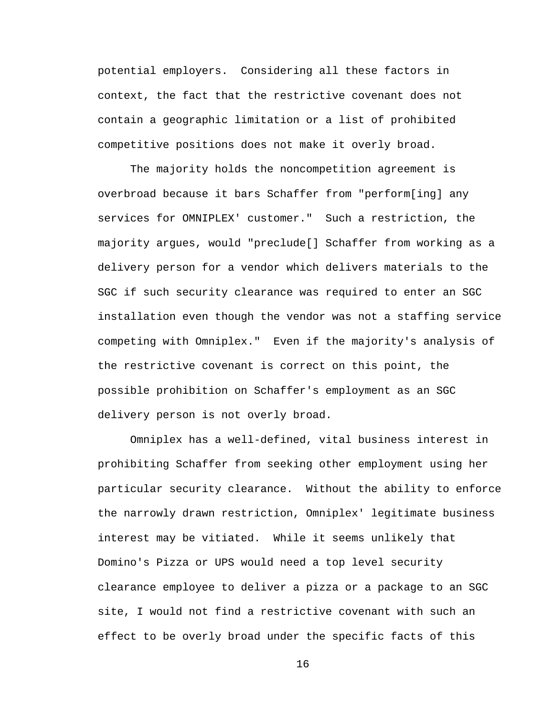potential employers. Considering all these factors in context, the fact that the restrictive covenant does not contain a geographic limitation or a list of prohibited competitive positions does not make it overly broad.

The majority holds the noncompetition agreement is overbroad because it bars Schaffer from "perform[ing] any services for OMNIPLEX' customer." Such a restriction, the majority argues, would "preclude[] Schaffer from working as a delivery person for a vendor which delivers materials to the SGC if such security clearance was required to enter an SGC installation even though the vendor was not a staffing service competing with Omniplex." Even if the majority's analysis of the restrictive covenant is correct on this point, the possible prohibition on Schaffer's employment as an SGC delivery person is not overly broad.

Omniplex has a well-defined, vital business interest in prohibiting Schaffer from seeking other employment using her particular security clearance. Without the ability to enforce the narrowly drawn restriction, Omniplex' legitimate business interest may be vitiated. While it seems unlikely that Domino's Pizza or UPS would need a top level security clearance employee to deliver a pizza or a package to an SGC site, I would not find a restrictive covenant with such an effect to be overly broad under the specific facts of this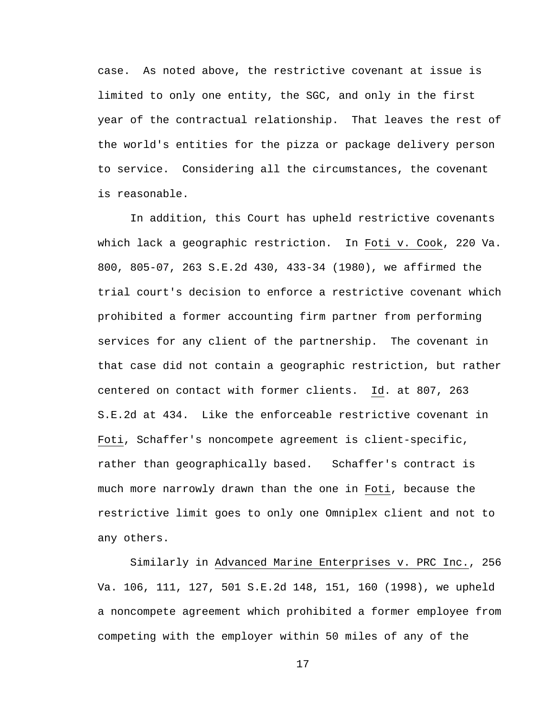case. As noted above, the restrictive covenant at issue is limited to only one entity, the SGC, and only in the first year of the contractual relationship. That leaves the rest of the world's entities for the pizza or package delivery person to service. Considering all the circumstances, the covenant is reasonable.

 In addition, this Court has upheld restrictive covenants which lack a geographic restriction. In Foti v. Cook, 220 Va. 800, 805-07, 263 S.E.2d 430, 433-34 (1980), we affirmed the trial court's decision to enforce a restrictive covenant which prohibited a former accounting firm partner from performing services for any client of the partnership. The covenant in that case did not contain a geographic restriction, but rather centered on contact with former clients. Id. at 807, 263 S.E.2d at 434. Like the enforceable restrictive covenant in Foti, Schaffer's noncompete agreement is client-specific, rather than geographically based. Schaffer's contract is much more narrowly drawn than the one in Foti, because the restrictive limit goes to only one Omniplex client and not to any others.

 Similarly in Advanced Marine Enterprises v. PRC Inc., 256 Va. 106, 111, 127, 501 S.E.2d 148, 151, 160 (1998), we upheld a noncompete agreement which prohibited a former employee from competing with the employer within 50 miles of any of the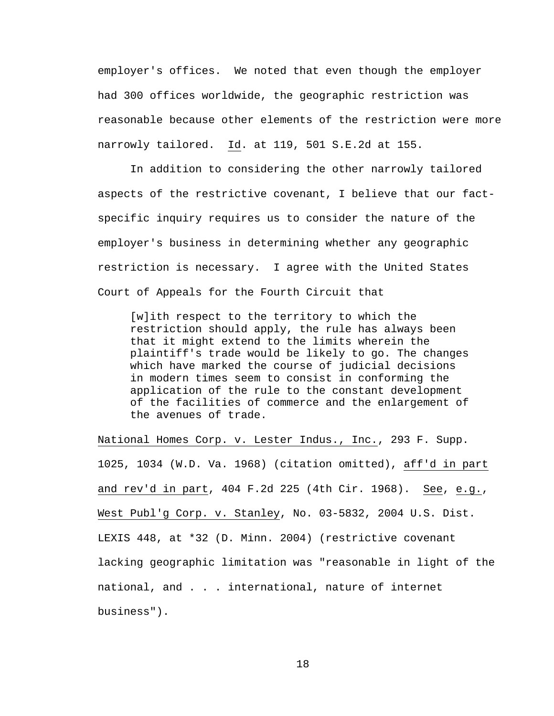employer's offices. We noted that even though the employer had 300 offices worldwide, the geographic restriction was reasonable because other elements of the restriction were more narrowly tailored. Id. at 119, 501 S.E.2d at 155.

 In addition to considering the other narrowly tailored aspects of the restrictive covenant, I believe that our factspecific inquiry requires us to consider the nature of the employer's business in determining whether any geographic restriction is necessary. I agree with the United States Court of Appeals for the Fourth Circuit that

[w]ith respect to the territory to which the restriction should apply, the rule has always been that it might extend to the limits wherein the plaintiff's trade would be likely to go. The changes which have marked the course of judicial decisions in modern times seem to consist in conforming the application of the rule to the constant development of the facilities of commerce and the enlargement of the avenues of trade.

National Homes Corp. v. Lester Indus., Inc., 293 F. Supp. 1025, 1034 (W.D. Va. 1968) (citation omitted), aff'd in part and rev'd in part, 404 F.2d 225 (4th Cir. 1968). See, e.g., West Publ'g Corp. v. Stanley, No. 03-5832, 2004 U.S. Dist. LEXIS 448, at \*32 (D. Minn. 2004) (restrictive covenant lacking geographic limitation was "reasonable in light of the national, and . . . international, nature of internet business").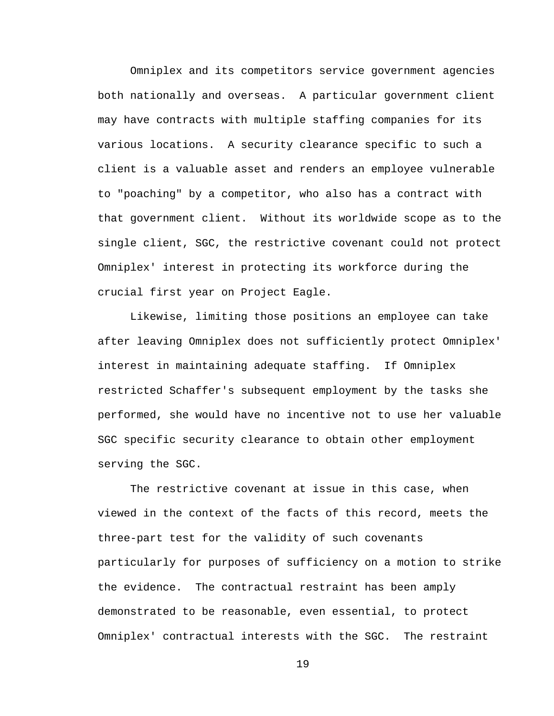Omniplex and its competitors service government agencies both nationally and overseas. A particular government client may have contracts with multiple staffing companies for its various locations. A security clearance specific to such a client is a valuable asset and renders an employee vulnerable to "poaching" by a competitor, who also has a contract with that government client. Without its worldwide scope as to the single client, SGC, the restrictive covenant could not protect Omniplex' interest in protecting its workforce during the crucial first year on Project Eagle.

Likewise, limiting those positions an employee can take after leaving Omniplex does not sufficiently protect Omniplex' interest in maintaining adequate staffing. If Omniplex restricted Schaffer's subsequent employment by the tasks she performed, she would have no incentive not to use her valuable SGC specific security clearance to obtain other employment serving the SGC.

The restrictive covenant at issue in this case, when viewed in the context of the facts of this record, meets the three-part test for the validity of such covenants particularly for purposes of sufficiency on a motion to strike the evidence. The contractual restraint has been amply demonstrated to be reasonable, even essential, to protect Omniplex' contractual interests with the SGC. The restraint